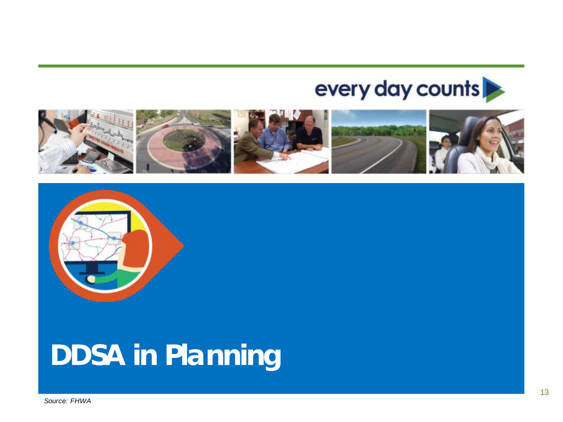### every day counts





# **DDSA in Planning**

*Source: FHWA*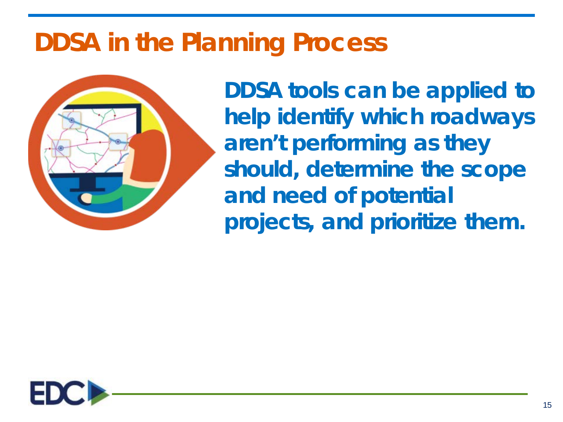

**DDSA tools can be applied to help identify which roadways aren't performing as they should, determine the scope and need of potential projects, and prioritize them.**

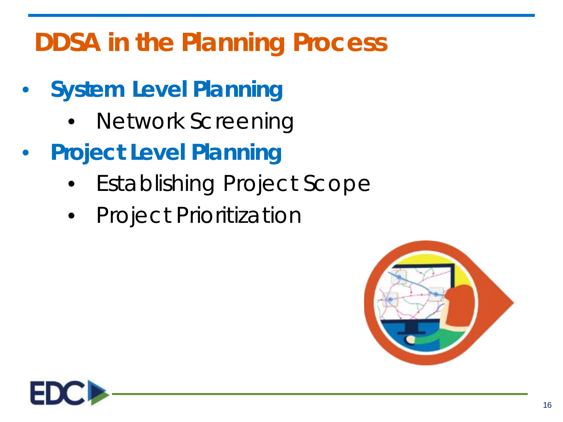- **System Level Planning**
	- Network Screening
- **Project Level Planning**
	- Establishing Project Scope
	- Project Prioritization



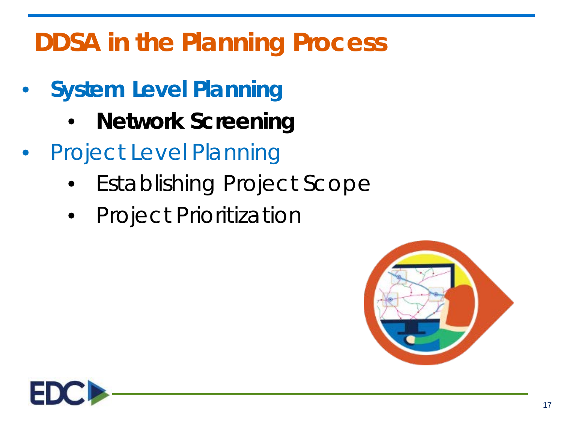- **System Level Planning**
	- **Network Screening**
- Project Level Planning
	- Establishing Project Scope
	- Project Prioritization



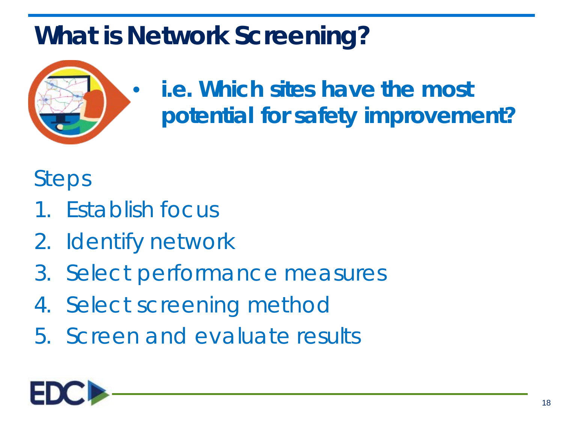## **What is Network Screening?**



### • **i.e. Which sites have the most potential for safety improvement?**

#### Steps

- 1. Establish focus
- 2. Identify network
- 3. Select performance measures
- 4. Select screening method
- 5. Screen and evaluate results

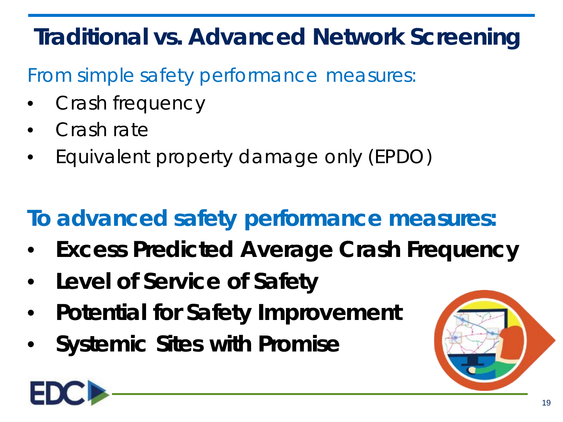## **Traditional vs. Advanced Network Screening**

- From simple safety performance measures:
- Crash frequency
- Crash rate
- Equivalent property damage only (EPDO)

## **To advanced safety performance measures:**

- **Excess Predicted Average Crash Frequency**
- **Level of Service of Safety**
- **Potential for Safety Improvement**
- **Systemic Sites with Promise**



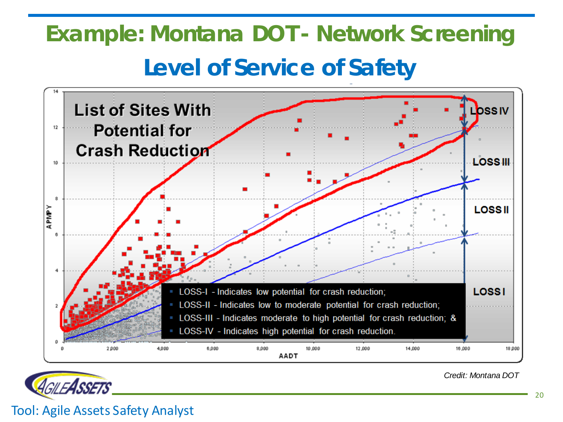## **Level of Service of Safety Example: Montana DOT - Network Screening**





*Credit: Montana DOT*

Tool: Agile Assets Safety Analyst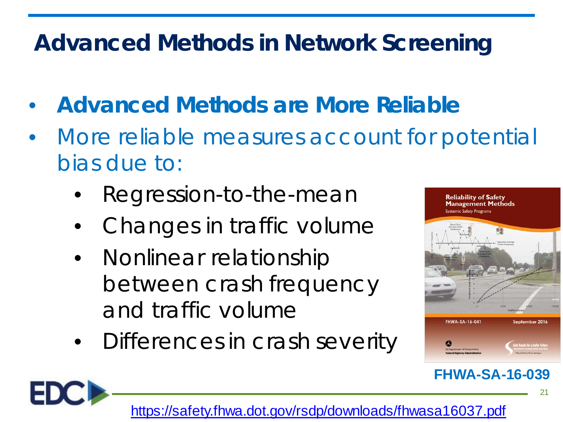#### **Advanced Methods in Network Screening**

- **Advanced Methods are More Reliable**
- More reliable measures account for potential bias due to:
	- Regression-to-the-mean
	- Changes in traffic volume
	- Nonlinear relationship between crash frequency and traffic volume
	- Differences in crash severity



#### **FHWA-SA-16-039**

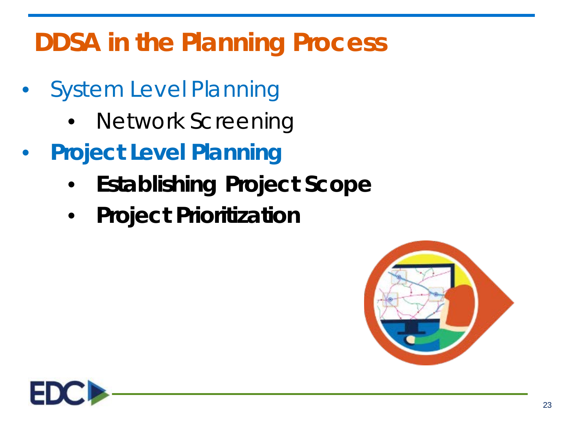- System Level Planning
	- Network Screening
- **Project Level Planning**
	- **Establishing Project Scope**
	- **Project Prioritization**



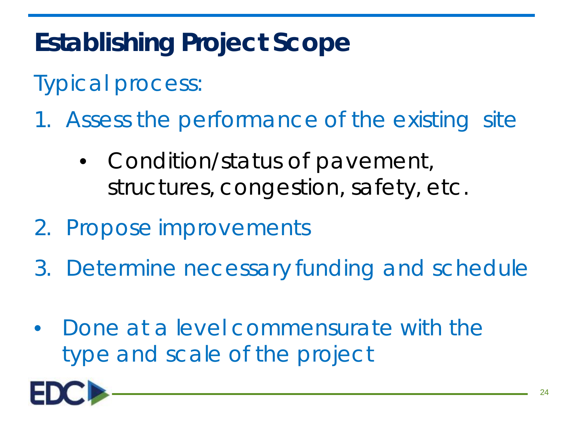## **Establishing Project Scope**

Typical process:

- 1. Assess the performance of the existing site
	- Condition/status of pavement, structures, congestion, safety, etc.
- 2. Propose improvements
- 3. Determine necessary funding and schedule
- Done at a level commensurate with the type and scale of the project

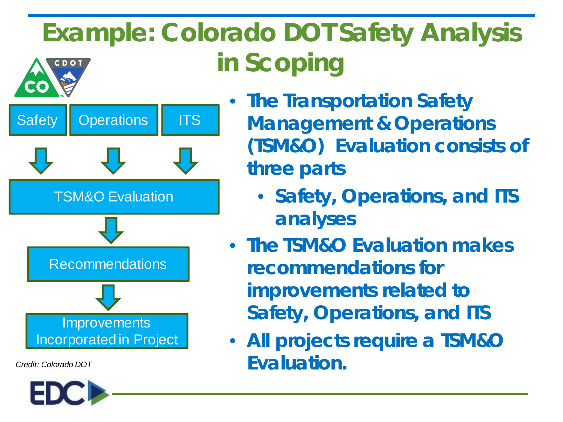#### **Example: Colorado DOT Safety Analysis in Scoping** CDOT



*Credit: Colorado DOT*



- **The Transportation Safety Management & Operations (TSM&O) Evaluation consists of three parts**
	- **Safety, Operations, and ITS analyses**
- **The TSM&O Evaluation makes recommendations for improvements related to Safety, Operations, and ITS**
- **All projects require a TSM&O Evaluation.**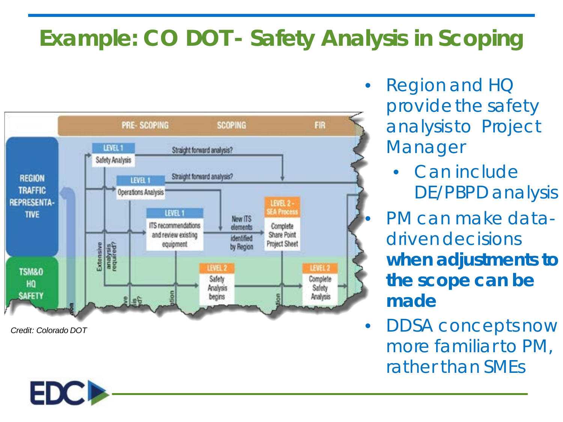#### **Example: CO DOT - Safety Analysis in Scoping**



*Credit: Colorado DOT*

ED

• Region and HQ provide the safety analysis to Project Manager

> • Can include DE/PBPD analysis

• PM can make datadriven decisions *when adjustments to the scope can be made*

• DDSA concepts now more familiar to PM, rather than SMEs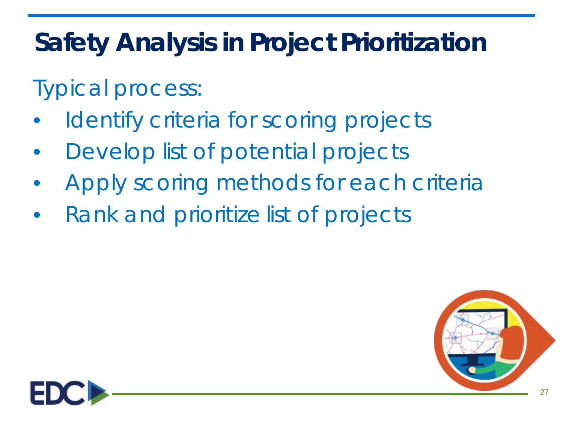## **Safety Analysis in Project Prioritization**

Typical process:

- Identify criteria for scoring projects
- Develop list of potential projects
- Apply scoring methods for each criteria
- Rank and prioritize list of projects



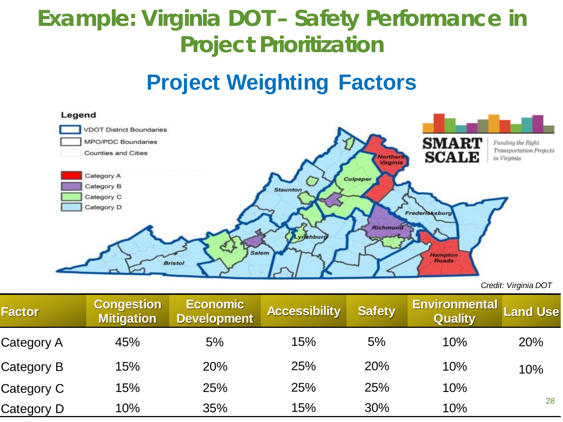#### **Example: Virginia DOT – Safety Performance in Project Prioritization**

#### **Project Weighting Factors**



*Credit: Virginia DOT*

| <b>Factor</b> | <b>Congestion</b><br><b>Mitigation</b> | <b>Economic</b><br><b>Development</b> | <b>Accessibility</b> | <b>Safety</b> | <b>Environmental</b><br><b>Quality</b> | <b>Land Use</b> |
|---------------|----------------------------------------|---------------------------------------|----------------------|---------------|----------------------------------------|-----------------|
| Category A    | 45%                                    | 5%                                    | 15%                  | 5%            | 10%                                    | 20%             |
| Category B    | 15%                                    | 20%                                   | 25%                  | 20%           | 10%                                    | 10%             |
| Category C    | 15%                                    | 25%                                   | 25%                  | 25%           | 10%                                    |                 |
| Category D    | 10%                                    | 35%                                   | 15%                  | 30%           | 10%                                    | 28              |